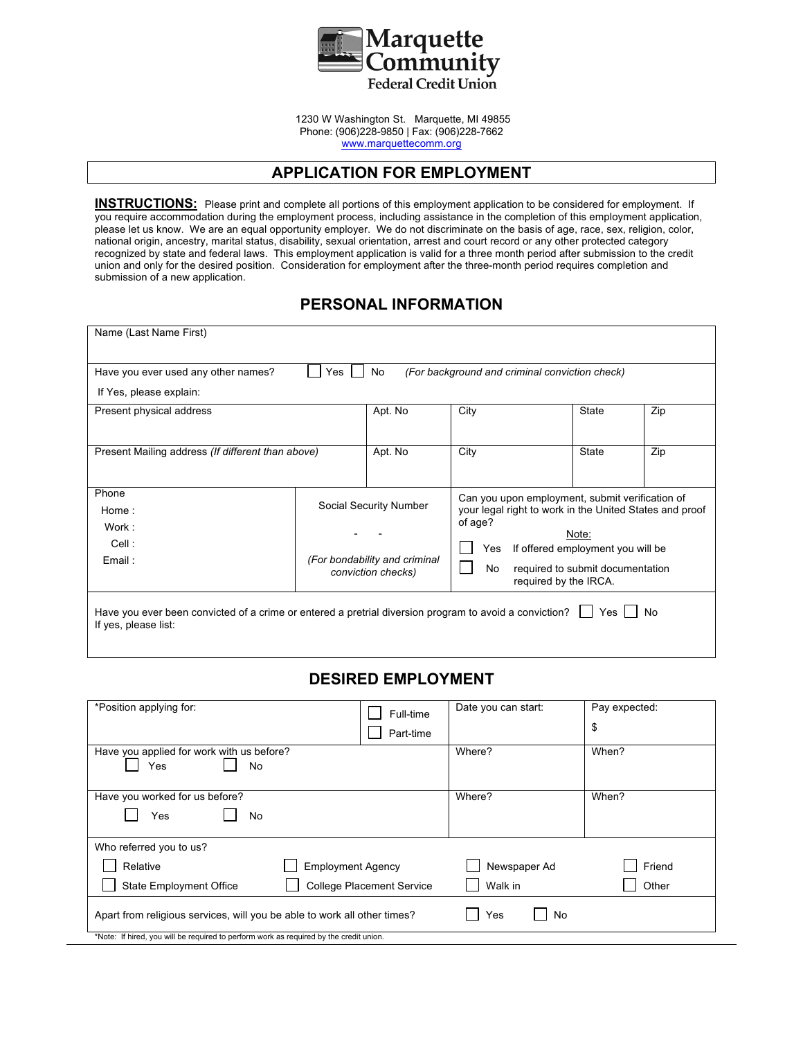

1230 W Washington St. Marquette, MI 49855 Phone: (906)228-9850 | Fax: (906)228-7662 www.marquettecomm.org

## **APPLICATION FOR EMPLOYMENT**

**INSTRUCTIONS:** Please print and complete all portions of this employment application to be considered for employment. If you require accommodation during the employment process, including assistance in the completion of this employment application, please let us know. We are an equal opportunity employer. We do not discriminate on the basis of age, race, sex, religion, color, national origin, ancestry, marital status, disability, sexual orientation, arrest and court record or any other protected category recognized by state and federal laws. This employment application is valid for a three month period after submission to the credit union and only for the desired position. Consideration for employment after the three-month period requires completion and submission of a new application.

#### **PERSONAL INFORMATION**

| Name (Last Name First)                                                                                                         |                                                                                                                                                                                                                                                                                                                                |         |                                                |              |     |
|--------------------------------------------------------------------------------------------------------------------------------|--------------------------------------------------------------------------------------------------------------------------------------------------------------------------------------------------------------------------------------------------------------------------------------------------------------------------------|---------|------------------------------------------------|--------------|-----|
| Have you ever used any other names?                                                                                            | Yes                                                                                                                                                                                                                                                                                                                            | No      | (For background and criminal conviction check) |              |     |
| If Yes, please explain:                                                                                                        |                                                                                                                                                                                                                                                                                                                                |         |                                                |              |     |
| Present physical address                                                                                                       |                                                                                                                                                                                                                                                                                                                                | Apt. No | City                                           | <b>State</b> | Zip |
| Present Mailing address (If different than above)                                                                              |                                                                                                                                                                                                                                                                                                                                | Apt. No | City                                           | <b>State</b> | Zip |
| Phone<br>Home:<br>Work:<br>Cell :<br>Email:                                                                                    | Can you upon employment, submit verification of<br>Social Security Number<br>your legal right to work in the United States and proof<br>of age?<br>Note:<br>Yes<br>If offered employment you will be<br>(For bondability and criminal<br>No<br>required to submit documentation<br>conviction checks)<br>required by the IRCA. |         |                                                |              |     |
| Have you ever been convicted of a crime or entered a pretrial diversion program to avoid a conviction?<br>If yes, please list: |                                                                                                                                                                                                                                                                                                                                |         |                                                | Yes          | No  |

#### **DESIRED EMPLOYMENT**

| *Position applying for:                                                                | Full-time                        | Date you can start: | Pay expected: |
|----------------------------------------------------------------------------------------|----------------------------------|---------------------|---------------|
|                                                                                        | Part-time                        |                     | \$            |
| Have you applied for work with us before?<br>Yes<br>No                                 |                                  | Where?              | When?         |
| Have you worked for us before?                                                         |                                  | Where?              | When?         |
| No<br>Yes                                                                              |                                  |                     |               |
| Who referred you to us?                                                                |                                  |                     |               |
| Relative                                                                               | <b>Employment Agency</b>         | Newspaper Ad        | Friend        |
| <b>State Employment Office</b>                                                         | <b>College Placement Service</b> | Walk in             | Other         |
| Apart from religious services, will you be able to work all other times?               |                                  | No<br>Yes           |               |
| *Note: If hired, you will be required to perform work as required by the credit union. |                                  |                     |               |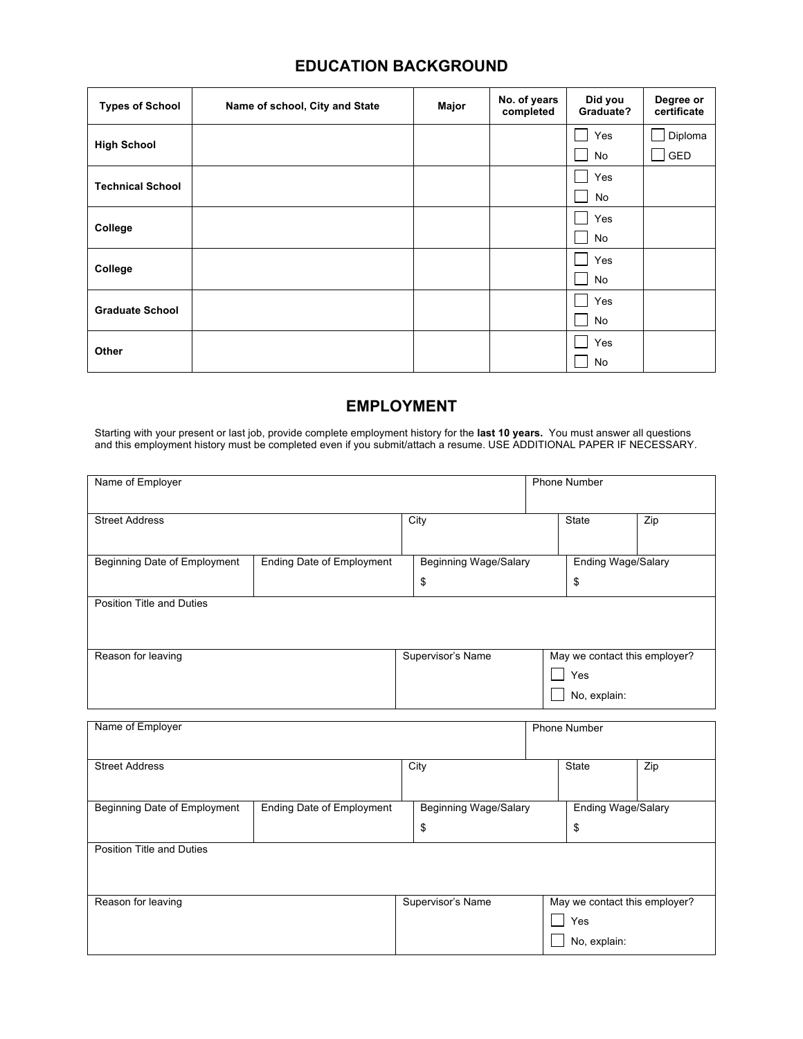# **EDUCATION BACKGROUND**

| <b>Types of School</b>  | Name of school, City and State | Major | No. of years<br>completed | Did you<br>Graduate? | Degree or<br>certificate |
|-------------------------|--------------------------------|-------|---------------------------|----------------------|--------------------------|
| <b>High School</b>      |                                |       |                           | Yes                  | Diploma                  |
|                         |                                |       |                           | No                   | GED                      |
| <b>Technical School</b> |                                |       |                           | Yes                  |                          |
|                         |                                |       |                           | No                   |                          |
|                         |                                |       |                           | Yes                  |                          |
| College                 |                                |       |                           | No                   |                          |
|                         |                                |       |                           | Yes                  |                          |
| College                 |                                |       |                           | No                   |                          |
| <b>Graduate School</b>  |                                |       |                           | Yes                  |                          |
|                         |                                |       |                           | No                   |                          |
| Other                   |                                |       |                           | Yes                  |                          |
|                         |                                |       |                           | No                   |                          |

# **EMPLOYMENT**

Starting with your present or last job, provide complete employment history for the **last 10 years.** You must answer all questions and this employment history must be completed even if you submit/attach a resume. USE ADDITIONAL PAPER IF NECESSARY.

| Name of Employer                    |                                  |                              | <b>Phone Number</b>           |     |
|-------------------------------------|----------------------------------|------------------------------|-------------------------------|-----|
| <b>Street Address</b>               |                                  | City                         | State                         | Zip |
| <b>Beginning Date of Employment</b> | <b>Ending Date of Employment</b> | <b>Beginning Wage/Salary</b> | Ending Wage/Salary            |     |
|                                     |                                  | \$                           | \$                            |     |
| <b>Position Title and Duties</b>    |                                  |                              |                               |     |
|                                     |                                  |                              |                               |     |
| Reason for leaving                  |                                  | Supervisor's Name            | May we contact this employer? |     |
|                                     |                                  |                              | Yes                           |     |
|                                     |                                  |                              | No, explain:                  |     |
|                                     |                                  |                              |                               |     |
| Name of Employer                    |                                  |                              | <b>Phone Number</b>           |     |
| <b>Street Address</b>               |                                  | City                         | <b>State</b>                  | Zip |
|                                     |                                  |                              |                               |     |
| Beginning Date of Employment        | Ending Date of Employment        | <b>Beginning Wage/Salary</b> | <b>Ending Wage/Salary</b>     |     |
|                                     |                                  | \$                           | \$                            |     |
| <b>Position Title and Duties</b>    |                                  |                              |                               |     |
|                                     |                                  |                              |                               |     |
| Reason for leaving                  |                                  | Supervisor's Name            | May we contact this employer? |     |
|                                     |                                  |                              | Yes                           |     |
|                                     |                                  |                              | No, explain:                  |     |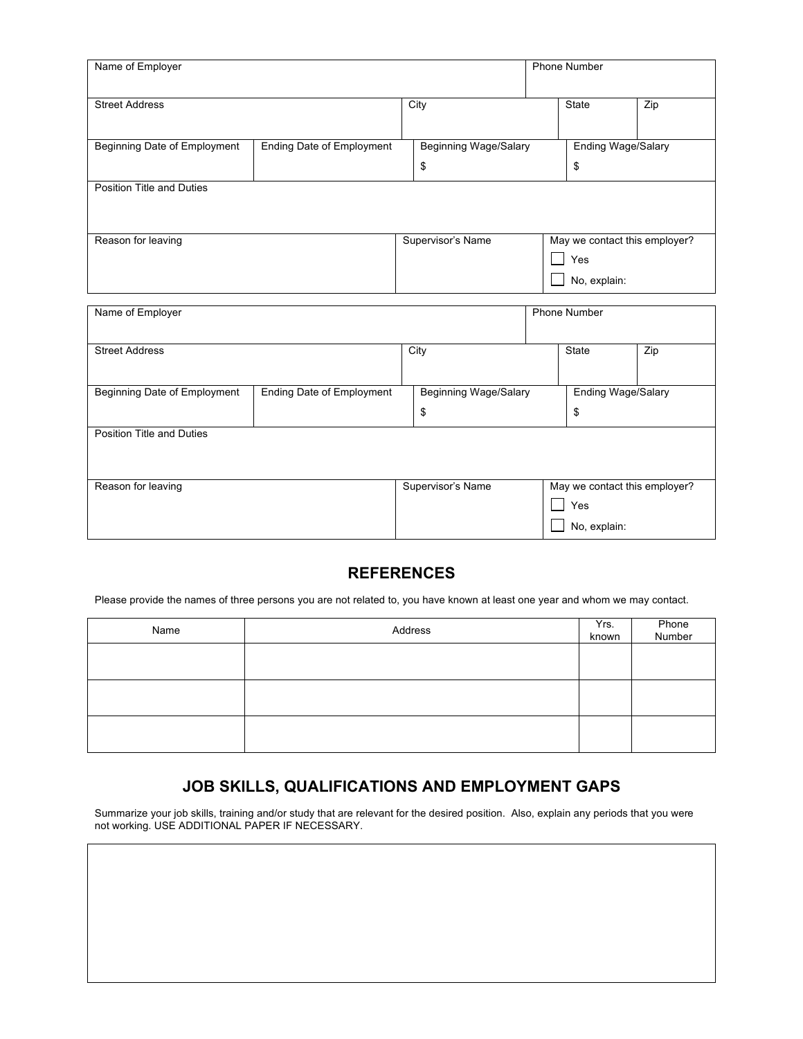| Name of Employer                 |                                  |                              | <b>Phone Number</b>           |     |
|----------------------------------|----------------------------------|------------------------------|-------------------------------|-----|
|                                  |                                  |                              |                               |     |
|                                  |                                  |                              |                               |     |
| <b>Street Address</b>            |                                  | City                         | <b>State</b>                  | Zip |
|                                  |                                  |                              |                               |     |
|                                  |                                  |                              |                               |     |
| Beginning Date of Employment     | <b>Ending Date of Employment</b> | <b>Beginning Wage/Salary</b> | Ending Wage/Salary            |     |
|                                  |                                  | \$                           | \$                            |     |
| <b>Position Title and Duties</b> |                                  |                              |                               |     |
|                                  |                                  |                              |                               |     |
|                                  |                                  |                              |                               |     |
| Reason for leaving               |                                  | Supervisor's Name            | May we contact this employer? |     |
|                                  |                                  |                              | Yes                           |     |
|                                  |                                  |                              |                               |     |
|                                  |                                  |                              | No, explain:                  |     |
|                                  |                                  |                              |                               |     |
| Name of Employer                 |                                  |                              | <b>Phone Number</b>           |     |
|                                  |                                  |                              |                               |     |
| <b>Street Address</b>            |                                  | City                         | <b>State</b>                  | Zip |
|                                  |                                  |                              |                               |     |
| Beginning Date of Employment     | <b>Ending Date of Employment</b> | Beginning Wage/Salary        | <b>Ending Wage/Salary</b>     |     |
|                                  |                                  |                              |                               |     |
|                                  |                                  | \$                           | \$                            |     |
| Position Title and Duties        |                                  |                              |                               |     |
|                                  |                                  |                              |                               |     |
|                                  |                                  |                              |                               |     |
| Reason for leaving               |                                  |                              | May we contact this employer? |     |
|                                  |                                  | Supervisor's Name            |                               |     |
|                                  |                                  |                              |                               |     |
|                                  |                                  |                              | Yes<br>No, explain:           |     |

## **REFERENCES**

Please provide the names of three persons you are not related to, you have known at least one year and whom we may contact.

| Name | Address | Yrs.<br>known | Phone<br>Number |
|------|---------|---------------|-----------------|
|      |         |               |                 |
|      |         |               |                 |
|      |         |               |                 |

# **JOB SKILLS, QUALIFICATIONS AND EMPLOYMENT GAPS**

Summarize your job skills, training and/or study that are relevant for the desired position. Also, explain any periods that you were not working. USE ADDITIONAL PAPER IF NECESSARY.